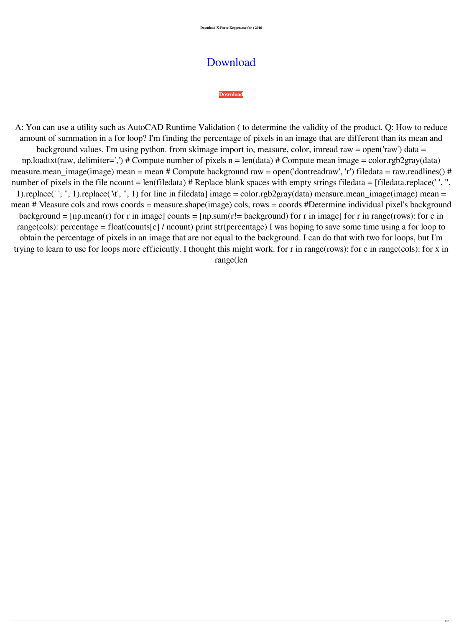**Download X-Force Keygen.exe for : 2016**

A: You can use a utility such as AutoCAD Runtime Validation ( to determine the validity of the product. Q: How to reduce amount of summation in a for loop? I'm finding the percentage of pixels in an image that are different than its mean and background values. I'm using python. from skimage import io, measure, color, imread raw = open('raw') data = np.loadtxt(raw, delimiter=',') # Compute number of pixels  $n = len(data)$  # Compute mean image = color.rgb2gray(data) measure.mean\_image(image) mean = mean # Compute background raw = open('dontreadraw', 'r') filedata = raw.readlines() # number of pixels in the file ncount  $= len(filedata)$  # Replace blank spaces with empty strings filedata  $= [filedata.replace('', ",$ 1).replace('', '', 1).replace('\t', '', 1) for line in filedata] image = color.rgb2gray(data) measure.mean\_image(image) mean = mean # Measure cols and rows coords = measure.shape(image) cols, rows = coords #Determine individual pixel's background background =  $[np-mean(r)$  for r in image] counts =  $[np.sum(r]=background)$  for r in image] for r in range(rows): for c in

## [Download](https://fancli.com/2l0iah)

## **[Download](https://fancli.com/2l0iah)**

range(cols): percentage = float(counts[c] / ncount) print str(percentage) I was hoping to save some time using a for loop to obtain the percentage of pixels in an image that are not equal to the background. I can do that with two for loops, but I'm trying to learn to use for loops more efficiently. I thought this might work. for r in range(rows): for c in range(cols): for x in range(len